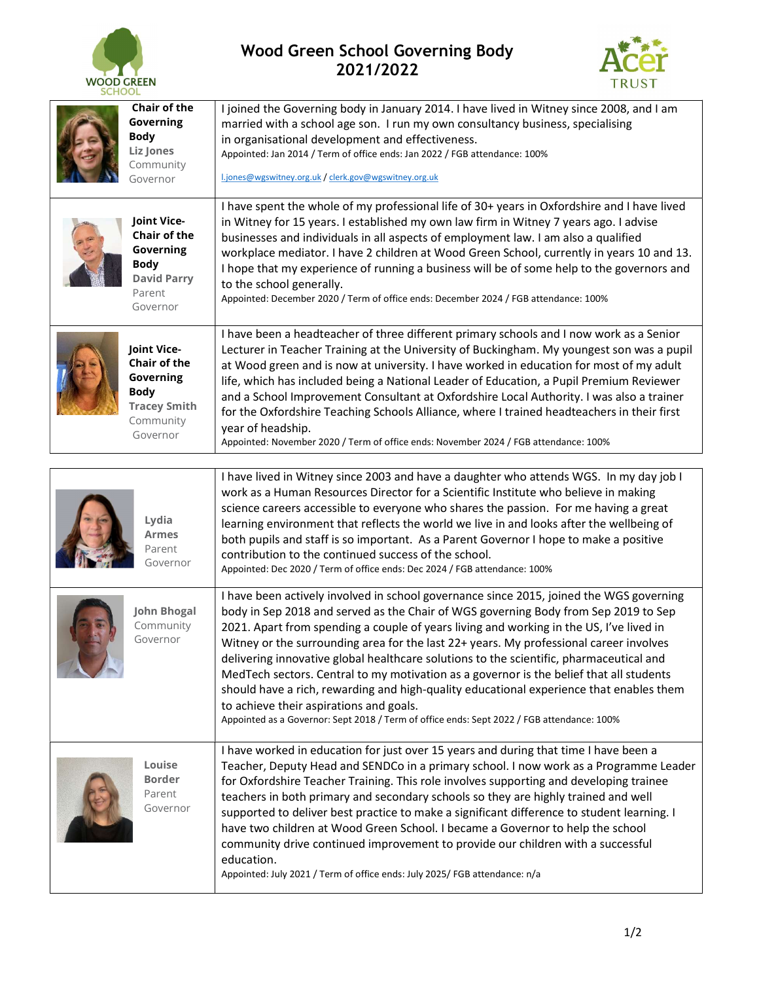

## Wood Green School Governing Body 2021/2022



| <b>Chair of the</b><br>Governing<br><b>Body</b><br><b>Liz Jones</b><br>Community<br>Governor               | I joined the Governing body in January 2014. I have lived in Witney since 2008, and I am<br>married with a school age son. I run my own consultancy business, specialising<br>in organisational development and effectiveness.<br>Appointed: Jan 2014 / Term of office ends: Jan 2022 / FGB attendance: 100%<br>l.jones@wgswitney.org.uk / clerk.gov@wgswitney.org.uk                                                                                                                                                                                                                                                                                                                                                                                                                         |  |
|------------------------------------------------------------------------------------------------------------|-----------------------------------------------------------------------------------------------------------------------------------------------------------------------------------------------------------------------------------------------------------------------------------------------------------------------------------------------------------------------------------------------------------------------------------------------------------------------------------------------------------------------------------------------------------------------------------------------------------------------------------------------------------------------------------------------------------------------------------------------------------------------------------------------|--|
| Joint Vice-<br><b>Chair of the</b><br>Governing<br><b>Body</b><br><b>David Parry</b><br>Parent<br>Governor | I have spent the whole of my professional life of 30+ years in Oxfordshire and I have lived<br>in Witney for 15 years. I established my own law firm in Witney 7 years ago. I advise<br>businesses and individuals in all aspects of employment law. I am also a qualified<br>workplace mediator. I have 2 children at Wood Green School, currently in years 10 and 13.<br>I hope that my experience of running a business will be of some help to the governors and<br>to the school generally.<br>Appointed: December 2020 / Term of office ends: December 2024 / FGB attendance: 100%                                                                                                                                                                                                      |  |
| Joint Vice-<br>Chair of the<br>Governing<br><b>Body</b><br><b>Tracey Smith</b><br>Community<br>Governor    | I have been a headteacher of three different primary schools and I now work as a Senior<br>Lecturer in Teacher Training at the University of Buckingham. My youngest son was a pupil<br>at Wood green and is now at university. I have worked in education for most of my adult<br>life, which has included being a National Leader of Education, a Pupil Premium Reviewer<br>and a School Improvement Consultant at Oxfordshire Local Authority. I was also a trainer<br>for the Oxfordshire Teaching Schools Alliance, where I trained headteachers in their first<br>year of headship.<br>Appointed: November 2020 / Term of office ends: November 2024 / FGB attendance: 100%                                                                                                             |  |
| I have lived in Witney since 2003 and have a daughter who attends WGS. In my day job I                     |                                                                                                                                                                                                                                                                                                                                                                                                                                                                                                                                                                                                                                                                                                                                                                                               |  |
| Lydia<br><b>Armes</b><br>Parent<br>Governor                                                                | work as a Human Resources Director for a Scientific Institute who believe in making<br>science careers accessible to everyone who shares the passion. For me having a great<br>learning environment that reflects the world we live in and looks after the wellbeing of<br>both pupils and staff is so important. As a Parent Governor I hope to make a positive<br>contribution to the continued success of the school.<br>Appointed: Dec 2020 / Term of office ends: Dec 2024 / FGB attendance: 100%                                                                                                                                                                                                                                                                                        |  |
| <b>John Bhogal</b><br>Community<br>Governor                                                                | I have been actively involved in school governance since 2015, joined the WGS governing<br>body in Sep 2018 and served as the Chair of WGS governing Body from Sep 2019 to Sep<br>2021. Apart from spending a couple of years living and working in the US, I've lived in<br>Witney or the surrounding area for the last 22+ years. My professional career involves<br>delivering innovative global healthcare solutions to the scientific, pharmaceutical and<br>MedTech sectors. Central to my motivation as a governor is the belief that all students<br>should have a rich, rewarding and high-quality educational experience that enables them<br>to achieve their aspirations and goals.<br>Appointed as a Governor: Sept 2018 / Term of office ends: Sept 2022 / FGB attendance: 100% |  |
| Louise<br><b>Border</b><br>Parent<br>Governor                                                              | I have worked in education for just over 15 years and during that time I have been a<br>Teacher, Deputy Head and SENDCo in a primary school. I now work as a Programme Leader<br>for Oxfordshire Teacher Training. This role involves supporting and developing trainee<br>teachers in both primary and secondary schools so they are highly trained and well<br>supported to deliver best practice to make a significant difference to student learning. I<br>have two children at Wood Green School. I became a Governor to help the school<br>community drive continued improvement to provide our children with a successful<br>education.<br>Appointed: July 2021 / Term of office ends: July 2025/ FGB attendance: n/a                                                                  |  |